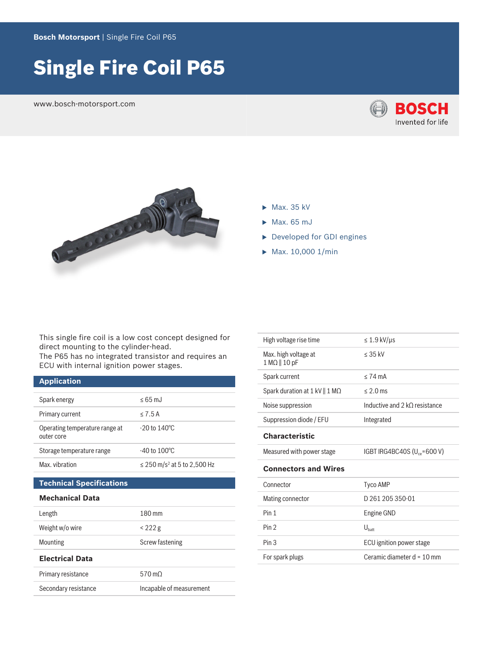# Single Fire Coil P65

www.bosch-motorsport.com





- $\blacktriangleright$  Max. 35 kV
- $\blacktriangleright$  Max. 65 mJ
- Developed for GDI engines
- $\blacktriangleright$  Max. 10,000 1/min

This single fire coil is a low cost concept designed for direct mounting to the cylinder-head.

The P65 has no integrated transistor and requires an ECU with internal ignition power stages.

# **Application**

| Spark energy                                 | $< 65$ m.l.                             |
|----------------------------------------------|-----------------------------------------|
| Primary current                              | < 7.5 A                                 |
| Operating temperature range at<br>outer core | $-20$ to 140 °C                         |
| Storage temperature range                    | $-40$ to $100^{\circ}$ C                |
| Max. vibration                               | ≤ 250 m/s <sup>2</sup> at 5 to 2,500 Hz |

# **Technical Specifications**

#### **Mechanical Data**

| Length                 | 180 mm          |  |  |
|------------------------|-----------------|--|--|
| Weight w/o wire        | $<$ 222 g       |  |  |
| <b>Mounting</b>        | Screw fastening |  |  |
|                        |                 |  |  |
| <b>Flectrical Data</b> |                 |  |  |
| Primary resistance     | 570 mO          |  |  |

| High voltage rise time                      | $\leq 1.9$ kV/µs                  |
|---------------------------------------------|-----------------------------------|
| Max. high voltage at<br>$1 M\Omega$   10 pF | $< 35$ kV                         |
| Spark current                               | $< 74 \text{ mA}$                 |
| Spark duration at $1$ kV    1 M $\Omega$    | $< 2.0$ ms                        |
| Noise suppression                           | Inductive and 2 kO resistance     |
| Suppression diode / EFU                     | Integrated                        |
| <b>Characteristic</b>                       |                                   |
| Measured with power stage                   | IGBT IRG4BC40S ( $U_{ce}$ =600 V) |
|                                             |                                   |
| <b>Connectors and Wires</b>                 |                                   |
| Connector                                   | Tyco AMP                          |
| Mating connector                            | D 261 205 350-01                  |
| Pin 1                                       | Engine GND                        |
| Pin <sub>2</sub>                            | $\mathsf{U}_{\mathsf{batt}}$      |
| Pin <sub>3</sub>                            | ECU ignition power stage          |
| For spark plugs                             | Ceramic diameter $d = 10$ mm      |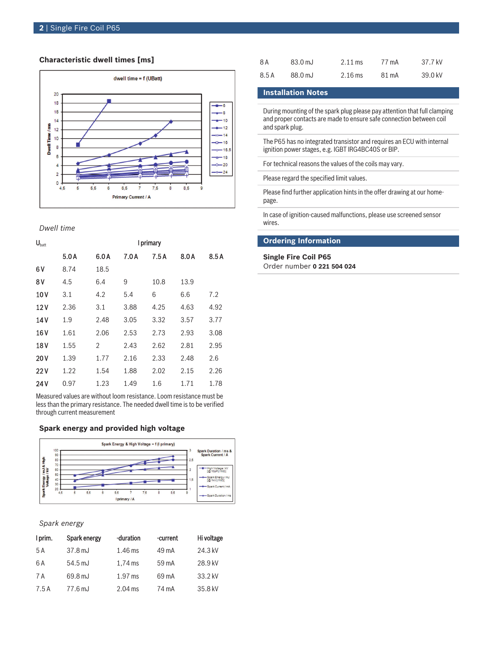### **Characteristic dwell times [ms]**



*Dwell time*

| $\mathbf{U}_{\text{batt}}$ | I primary |      |      |      |      |      |
|----------------------------|-----------|------|------|------|------|------|
|                            | 5.0A      | 6.0A | 7.0A | 7.5A | 8.0A | 8.5A |
| 6 V                        | 8.74      | 18.5 |      |      |      |      |
| 8 V                        | 4.5       | 6.4  | 9    | 10.8 | 13.9 |      |
| 10 V                       | 3.1       | 4.2  | 5.4  | 6    | 6.6  | 7.2  |
| 12V                        | 2.36      | 3.1  | 3.88 | 4.25 | 4.63 | 4.92 |
| 14 V                       | 1.9       | 2.48 | 3.05 | 3.32 | 3.57 | 3.77 |
| 16 <sub>V</sub>            | 1.61      | 2.06 | 2.53 | 2.73 | 2.93 | 3.08 |
| 18 <sub>V</sub>            | 1.55      | 2    | 2.43 | 2.62 | 2.81 | 2.95 |
| 20V                        | 1.39      | 1.77 | 2.16 | 2.33 | 2.48 | 2.6  |
| 22V                        | 1.22      | 1.54 | 1.88 | 2.02 | 2.15 | 2.26 |
| 24V                        | 0.97      | 1.23 | 1.49 | 1.6  | 1.71 | 1.78 |
|                            |           |      |      |      |      |      |

Measured values are without loom resistance. Loom resistance must be less than the primary resistance. The needed dwell time is to be verified through current measurement

#### **Spark energy and provided high voltage**



#### *Spark energy*

| I prim. | Spark energy      | -duration | -current | Hi voltage |
|---------|-------------------|-----------|----------|------------|
| 5 A     | $37.8$ mJ         | $1.46$ ms | 49 mA    | 24.3 kV    |
| 6 A     | $54.5 \text{ mJ}$ | $1.74$ ms | 59 mA    | 28.9 kV    |
| 7 A     | 69.8 mJ           | $1.97$ ms | 69 mA    | 33.2 kV    |
| 7.5 A   | 77.6 mJ           | $2.04$ ms | 74 mA    | 35.8 kV    |

| 8 A   | 83.0 mJ | $2.11 \text{ ms}$ | 77 mA | 37.7 kV |
|-------|---------|-------------------|-------|---------|
| 8.5 A | 88.0 mJ | $2.16$ ms         | 81 mA | 39.0 kV |

## **Installation Notes**

During mounting of the spark plug please pay attention that full clamping and proper contacts are made to ensure safe connection between coil and spark plug.

The P65 has no integrated transistor and requires an ECU with internal ignition power stages, e.g. IGBT IRG4BC40S or BIP.

For technical reasons the values of the coils may vary.

Please regard the specified limit values.

Please find further application hints in the offer drawing at our homepage.

In case of ignition-caused malfunctions, please use screened sensor wires.

### **Ordering Information**

**Single Fire Coil P65**

Order number **0 221 504 024**